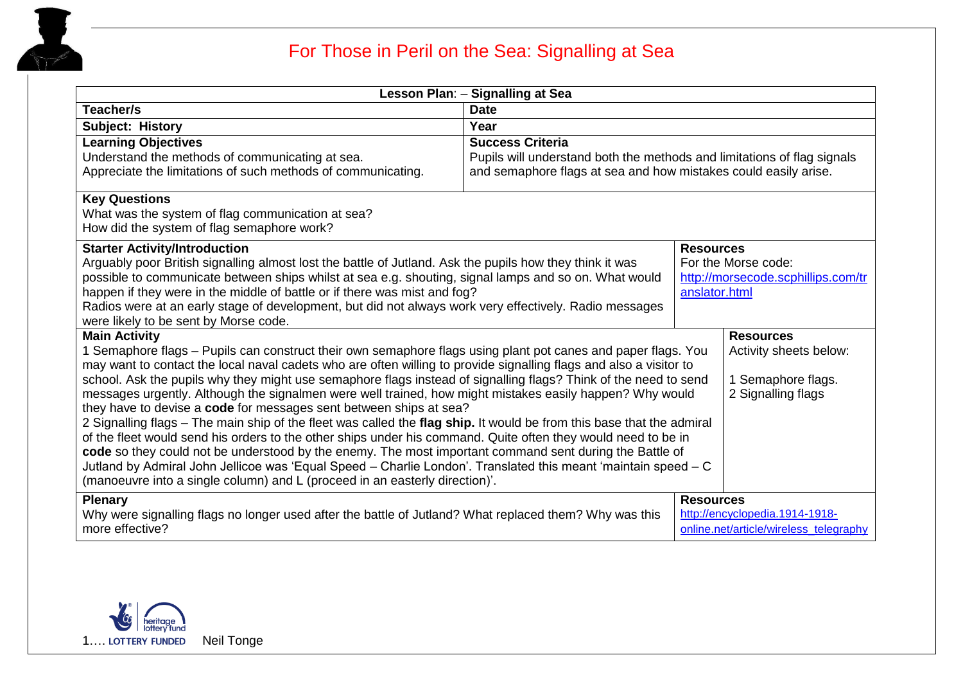

## For Those in Peril on the Sea: Signalling at Sea

| Lesson Plan: - Signalling at Sea                                                                                                                                                                                                                          |                                                                         |                                    |                                        |
|-----------------------------------------------------------------------------------------------------------------------------------------------------------------------------------------------------------------------------------------------------------|-------------------------------------------------------------------------|------------------------------------|----------------------------------------|
| Teacher/s                                                                                                                                                                                                                                                 | <b>Date</b>                                                             |                                    |                                        |
| Subject: History                                                                                                                                                                                                                                          | Year                                                                    |                                    |                                        |
| <b>Learning Objectives</b>                                                                                                                                                                                                                                | <b>Success Criteria</b>                                                 |                                    |                                        |
| Understand the methods of communicating at sea.                                                                                                                                                                                                           | Pupils will understand both the methods and limitations of flag signals |                                    |                                        |
| Appreciate the limitations of such methods of communicating.                                                                                                                                                                                              | and semaphore flags at sea and how mistakes could easily arise.         |                                    |                                        |
| <b>Key Questions</b>                                                                                                                                                                                                                                      |                                                                         |                                    |                                        |
| What was the system of flag communication at sea?                                                                                                                                                                                                         |                                                                         |                                    |                                        |
| How did the system of flag semaphore work?                                                                                                                                                                                                                |                                                                         |                                    |                                        |
| <b>Starter Activity/Introduction</b><br>Arguably poor British signalling almost lost the battle of Jutland. Ask the pupils how they think it was<br>possible to communicate between ships whilst at sea e.g. shouting, signal lamps and so on. What would |                                                                         | <b>Resources</b>                   |                                        |
|                                                                                                                                                                                                                                                           |                                                                         | For the Morse code:                |                                        |
|                                                                                                                                                                                                                                                           |                                                                         | http://morsecode.scphillips.com/tr |                                        |
| happen if they were in the middle of battle or if there was mist and fog?                                                                                                                                                                                 |                                                                         | anslator.html                      |                                        |
| Radios were at an early stage of development, but did not always work very effectively. Radio messages                                                                                                                                                    |                                                                         |                                    |                                        |
| were likely to be sent by Morse code.<br><b>Main Activity</b>                                                                                                                                                                                             |                                                                         |                                    | <b>Resources</b>                       |
| 1 Semaphore flags - Pupils can construct their own semaphore flags using plant pot canes and paper flags. You                                                                                                                                             |                                                                         |                                    | Activity sheets below:                 |
| may want to contact the local naval cadets who are often willing to provide signalling flags and also a visitor to                                                                                                                                        |                                                                         |                                    |                                        |
| school. Ask the pupils why they might use semaphore flags instead of signalling flags? Think of the need to send                                                                                                                                          |                                                                         | 1 Semaphore flags.                 |                                        |
| messages urgently. Although the signalmen were well trained, how might mistakes easily happen? Why would                                                                                                                                                  |                                                                         |                                    | 2 Signalling flags                     |
| they have to devise a code for messages sent between ships at sea?                                                                                                                                                                                        |                                                                         |                                    |                                        |
| 2 Signalling flags - The main ship of the fleet was called the flag ship. It would be from this base that the admiral                                                                                                                                     |                                                                         |                                    |                                        |
| of the fleet would send his orders to the other ships under his command. Quite often they would need to be in                                                                                                                                             |                                                                         |                                    |                                        |
| code so they could not be understood by the enemy. The most important command sent during the Battle of<br>Jutland by Admiral John Jellicoe was 'Equal Speed - Charlie London'. Translated this meant 'maintain speed - C                                 |                                                                         |                                    |                                        |
| (manoeuvre into a single column) and L (proceed in an easterly direction)'.                                                                                                                                                                               |                                                                         |                                    |                                        |
| <b>Plenary</b><br><b>Resources</b>                                                                                                                                                                                                                        |                                                                         |                                    |                                        |
| Why were signalling flags no longer used after the battle of Jutland? What replaced them? Why was this                                                                                                                                                    |                                                                         | http://encyclopedia.1914-1918-     |                                        |
| more effective?                                                                                                                                                                                                                                           |                                                                         |                                    | online.net/article/wireless_telegraphy |

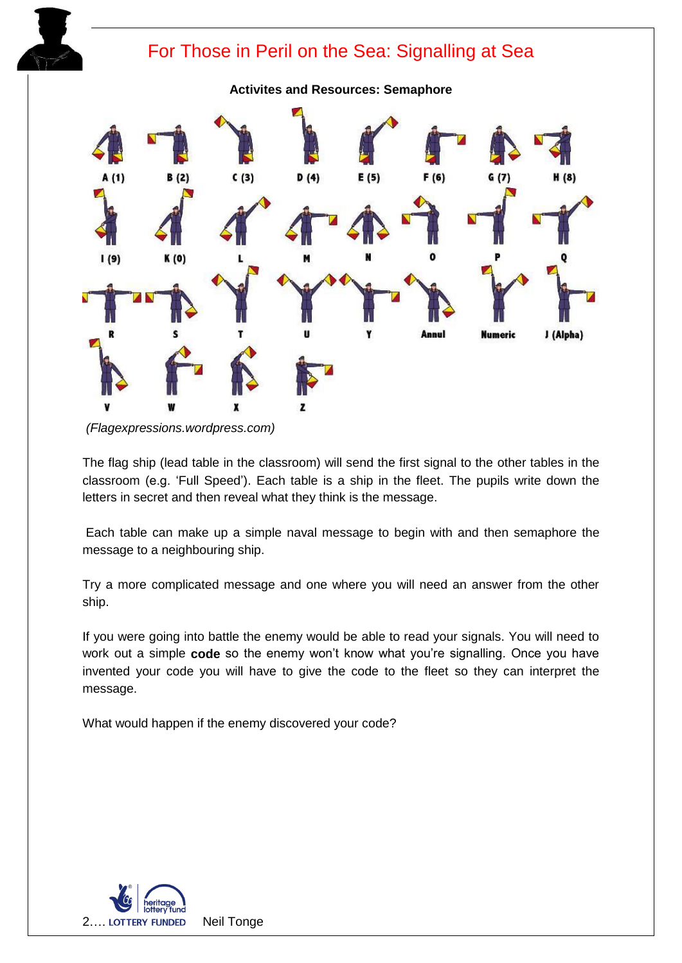

*<sup>(</sup>Flagexpressions.wordpress.com)*

The flag ship (lead table in the classroom) will send the first signal to the other tables in the classroom (e.g. 'Full Speed'). Each table is a ship in the fleet. The pupils write down the letters in secret and then reveal what they think is the message.

Each table can make up a simple naval message to begin with and then semaphore the message to a neighbouring ship.

Try a more complicated message and one where you will need an answer from the other ship.

If you were going into battle the enemy would be able to read your signals. You will need to work out a simple **code** so the enemy won't know what you're signalling. Once you have invented your code you will have to give the code to the fleet so they can interpret the message.

What would happen if the enemy discovered your code?